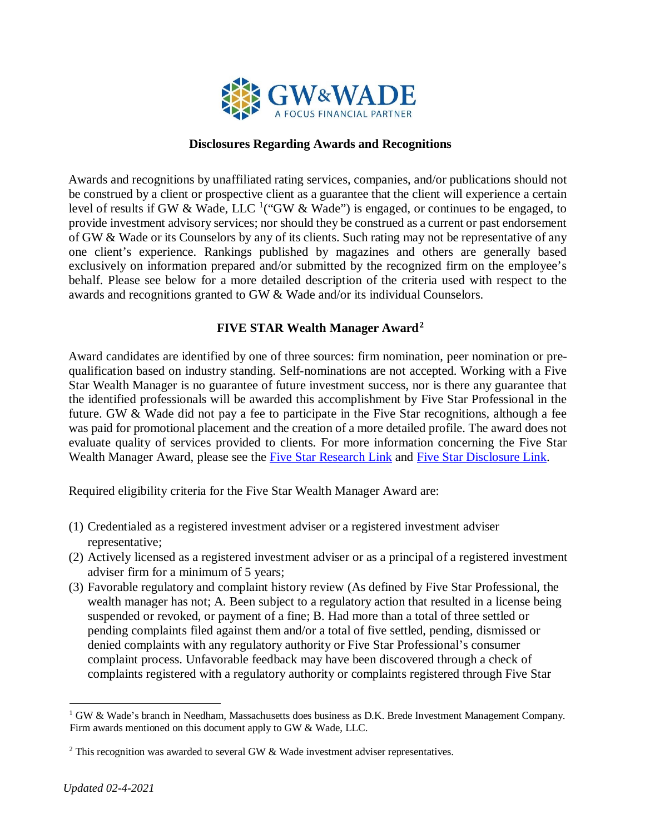

#### **Disclosures Regarding Awards and Recognitions**

Awards and recognitions by unaffiliated rating services, companies, and/or publications should not be construed by a client or prospective client as a guarantee that the client will experience a certain level of results if GW & Wade, LLC <sup>[1](#page-0-0)</sup>("GW & Wade") is engaged, or continues to be engaged, to provide investment advisory services; nor should they be construed as a current or past endorsement of GW & Wade or its Counselors by any of its clients. Such rating may not be representative of any one client's experience. Rankings published by magazines and others are generally based exclusively on information prepared and/or submitted by the recognized firm on the employee's behalf. Please see below for a more detailed description of the criteria used with respect to the awards and recognitions granted to GW & Wade and/or its individual Counselors.

## **FIVE STAR Wealth Manager Award[2](#page-0-1)**

Award candidates are identified by one of three sources: firm nomination, peer nomination or prequalification based on industry standing. Self-nominations are not accepted. Working with a Five Star Wealth Manager is no guarantee of future investment success, nor is there any guarantee that the identified professionals will be awarded this accomplishment by Five Star Professional in the future. GW & Wade did not pay a fee to participate in the Five Star recognitions, although a fee was paid for promotional placement and the creation of a more detailed profile. The award does not evaluate quality of services provided to clients. For more information concerning the Five Star We[a](https://www.fivestarprofessional.com/public/wmresearch)lth Manager Award, please see the **Five Star Research Link** and [Five Star Disclosure Link.](https://www.fivestarprofessional.com/wmdisclosures)

Required eligibility criteria for the Five Star Wealth Manager Award are:

- (1) Credentialed as a registered investment adviser or a registered investment adviser representative;
- (2) Actively licensed as a registered investment adviser or as a principal of a registered investment adviser firm for a minimum of 5 years;
- (3) Favorable regulatory and complaint history review (As defined by Five Star Professional, the wealth manager has not; A. Been subject to a regulatory action that resulted in a license being suspended or revoked, or payment of a fine; B. Had more than a total of three settled or pending complaints filed against them and/or a total of five settled, pending, dismissed or denied complaints with any regulatory authority or Five Star Professional's consumer complaint process. Unfavorable feedback may have been discovered through a check of complaints registered with a regulatory authority or complaints registered through Five Star

<span id="page-0-0"></span> $1$  GW & Wade's branch in Needham, Massachusetts does business as D.K. Brede Investment Management Company. Firm awards mentioned on this document apply to GW & Wade, LLC.

<span id="page-0-1"></span> $2$ <sup>2</sup> This recognition was awarded to several GW & Wade investment adviser representatives.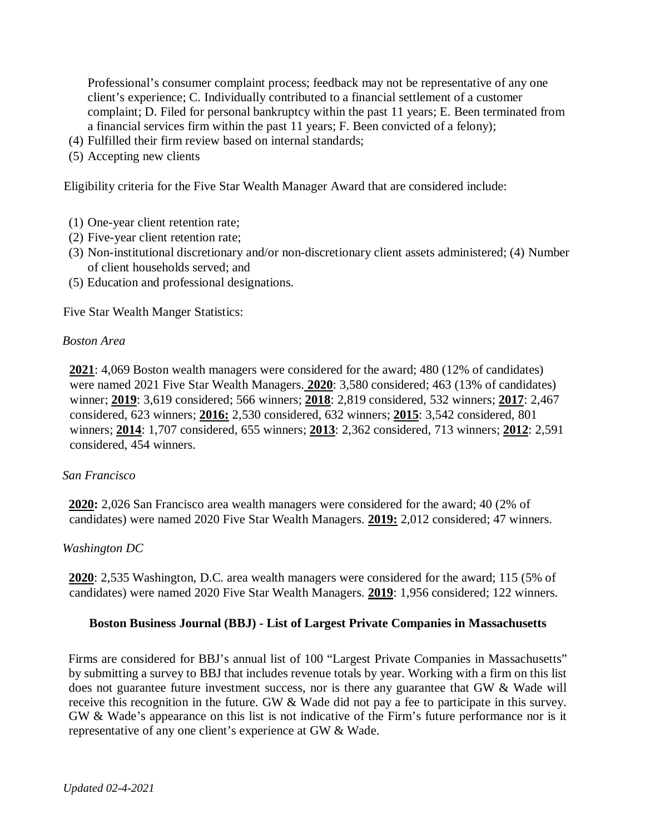Professional's consumer complaint process; feedback may not be representative of any one client's experience; C. Individually contributed to a financial settlement of a customer complaint; D. Filed for personal bankruptcy within the past 11 years; E. Been terminated from a financial services firm within the past 11 years; F. Been convicted of a felony);

- (4) Fulfilled their firm review based on internal standards;
- (5) Accepting new clients

Eligibility criteria for the Five Star Wealth Manager Award that are considered include:

- (1) One-year client retention rate;
- (2) Five-year client retention rate;
- (3) Non-institutional discretionary and/or non-discretionary client assets administered; (4) Number of client households served; and
- (5) Education and professional designations.

Five Star Wealth Manger Statistics:

#### *Boston Area*

**2021**: 4,069 Boston wealth managers were considered for the award; 480 (12% of candidates) were named 2021 Five Star Wealth Managers. **2020**: 3,580 considered; 463 (13% of candidates) winner; **2019**: 3,619 considered; 566 winners; **2018**: 2,819 considered, 532 winners; **2017**: 2,467 considered, 623 winners; **2016:** 2,530 considered, 632 winners; **2015**: 3,542 considered, 801 winners; **2014**: 1,707 considered, 655 winners; **2013**: 2,362 considered, 713 winners; **2012**: 2,591 considered, 454 winners.

#### *San Francisco*

**2020:** 2,026 San Francisco area wealth managers were considered for the award; 40 (2% of candidates) were named 2020 Five Star Wealth Managers. **2019:** 2,012 considered; 47 winners.

#### *Washington DC*

**2020**: 2,535 Washington, D.C. area wealth managers were considered for the award; 115 (5% of candidates) were named 2020 Five Star Wealth Managers. **2019**: 1,956 considered; 122 winners.

#### **Boston Business Journal (BBJ) - List of Largest Private Companies in Massachusetts**

Firms are considered for BBJ's annual list of 100 "Largest Private Companies in Massachusetts" by submitting a survey to BBJ that includes revenue totals by year. Working with a firm on this list does not guarantee future investment success, nor is there any guarantee that GW & Wade will receive this recognition in the future. GW & Wade did not pay a fee to participate in this survey. GW & Wade's appearance on this list is not indicative of the Firm's future performance nor is it representative of any one client's experience at GW & Wade.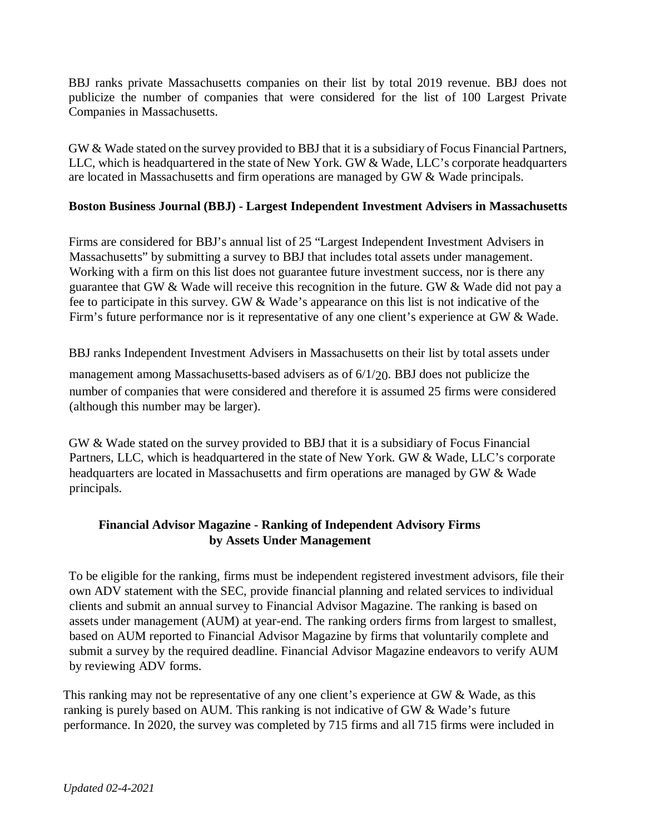BBJ ranks private Massachusetts companies on their list by total 2019 revenue. BBJ does not publicize the number of companies that were considered for the list of 100 Largest Private Companies in Massachusetts.

GW & Wade stated on the survey provided to BBJ that it is a subsidiary of Focus Financial Partners, LLC, which is headquartered in the state of New York. GW & Wade, LLC's corporate headquarters are located in Massachusetts and firm operations are managed by GW & Wade principals.

## **Boston Business Journal (BBJ) - Largest Independent Investment Advisers in Massachusetts**

Firms are considered for BBJ's annual list of 25 "Largest Independent Investment Advisers in Massachusetts" by submitting a survey to BBJ that includes total assets under management. Working with a firm on this list does not guarantee future investment success, nor is there any guarantee that GW & Wade will receive this recognition in the future. GW & Wade did not pay a fee to participate in this survey. GW & Wade's appearance on this list is not indicative of the Firm's future performance nor is it representative of any one client's experience at GW & Wade.

BBJ ranks Independent Investment Advisers in Massachusetts on their list by total assets under

management among Massachusetts-based advisers as of 6/1/20. BBJ does not publicize the number of companies that were considered and therefore it is assumed 25 firms were considered (although this number may be larger).

GW & Wade stated on the survey provided to BBJ that it is a subsidiary of Focus Financial Partners, LLC, which is headquartered in the state of New York. GW & Wade, LLC's corporate headquarters are located in Massachusetts and firm operations are managed by GW & Wade principals.

# **Financial Advisor Magazine - Ranking of Independent Advisory Firms by Assets Under Management**

To be eligible for the ranking, firms must be independent registered investment advisors, file their own ADV statement with the SEC, provide financial planning and related services to individual clients and submit an annual survey to Financial Advisor Magazine. The ranking is based on assets under management (AUM) at year-end. The ranking orders firms from largest to smallest, based on AUM reported to Financial Advisor Magazine by firms that voluntarily complete and submit a survey by the required deadline. Financial Advisor Magazine endeavors to verify AUM by reviewing ADV forms.

This ranking may not be representative of any one client's experience at GW & Wade, as this ranking is purely based on AUM. This ranking is not indicative of GW & Wade's future performance. In 2020, the survey was completed by 715 firms and all 715 firms were included in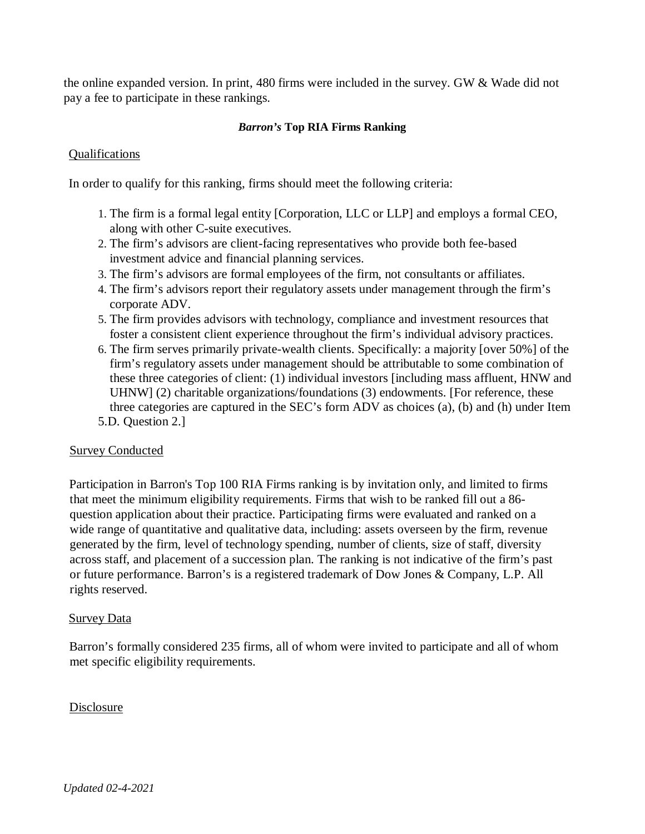the online expanded version. In print, 480 firms were included in the survey. GW & Wade did not pay a fee to participate in these rankings.

#### *Barron's* **Top RIA Firms Ranking**

## Qualifications

In order to qualify for this ranking, firms should meet the following criteria:

- 1. The firm is a formal legal entity [Corporation, LLC or LLP] and employs a formal CEO, along with other C-suite executives.
- 2. The firm's advisors are client-facing representatives who provide both fee-based investment advice and financial planning services.
- 3. The firm's advisors are formal employees of the firm, not consultants or affiliates.
- 4. The firm's advisors report their regulatory assets under management through the firm's corporate ADV.
- 5. The firm provides advisors with technology, compliance and investment resources that foster a consistent client experience throughout the firm's individual advisory practices.
- 6. The firm serves primarily private-wealth clients. Specifically: a majority [over 50%] of the firm's regulatory assets under management should be attributable to some combination of these three categories of client: (1) individual investors [including mass affluent, HNW and UHNW] (2) charitable organizations/foundations (3) endowments. [For reference, these three categories are captured in the SEC's form ADV as choices (a), (b) and (h) under Item 5.D. Question 2.]

## Survey Conducted

Participation in Barron's Top 100 RIA Firms ranking is by invitation only, and limited to firms that meet the minimum eligibility requirements. Firms that wish to be ranked fill out a 86 question application about their practice. Participating firms were evaluated and ranked on a wide range of quantitative and qualitative data, including: assets overseen by the firm, revenue generated by the firm, level of technology spending, number of clients, size of staff, diversity across staff, and placement of a succession plan. The ranking is not indicative of the firm's past or future performance. Barron's is a registered trademark of Dow Jones & Company, L.P. All rights reserved.

#### **Survey Data**

Barron's formally considered 235 firms, all of whom were invited to participate and all of whom met specific eligibility requirements.

#### Disclosure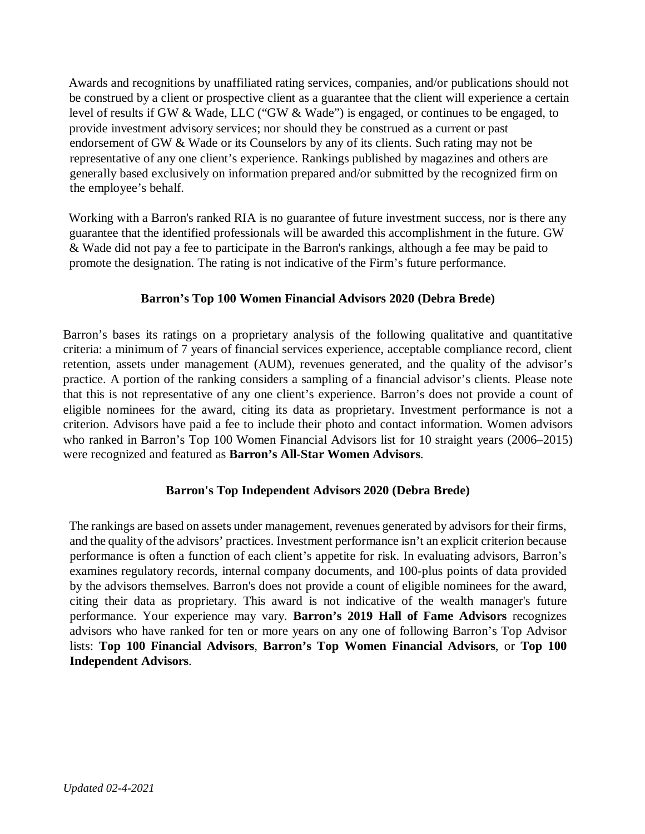Awards and recognitions by unaffiliated rating services, companies, and/or publications should not be construed by a client or prospective client as a guarantee that the client will experience a certain level of results if GW & Wade, LLC ("GW & Wade") is engaged, or continues to be engaged, to provide investment advisory services; nor should they be construed as a current or past endorsement of GW & Wade or its Counselors by any of its clients. Such rating may not be representative of any one client's experience. Rankings published by magazines and others are generally based exclusively on information prepared and/or submitted by the recognized firm on the employee's behalf.

Working with a Barron's ranked RIA is no guarantee of future investment success, nor is there any guarantee that the identified professionals will be awarded this accomplishment in the future. GW & Wade did not pay a fee to participate in the Barron's rankings, although a fee may be paid to promote the designation. The rating is not indicative of the Firm's future performance.

## **Barron's Top 100 Women Financial Advisors 2020 (Debra Brede)**

Barron's bases its ratings on a proprietary analysis of the following qualitative and quantitative criteria: a minimum of 7 years of financial services experience, acceptable compliance record, client retention, assets under management (AUM), revenues generated, and the quality of the advisor's practice. A portion of the ranking considers a sampling of a financial advisor's clients. Please note that this is not representative of any one client's experience. Barron's does not provide a count of eligible nominees for the award, citing its data as proprietary. Investment performance is not a criterion. Advisors have paid a fee to include their photo and contact information. Women advisors who ranked in Barron's Top 100 Women Financial Advisors list for 10 straight years (2006–2015) were recognized and featured as **Barron's All-Star Women Advisors**.

# **Barron's Top Independent Advisors 2020 (Debra Brede)**

The rankings are based on assets under management, revenues generated by advisors for their firms, and the quality of the advisors' practices. Investment performance isn't an explicit criterion because performance is often a function of each client's appetite for risk. In evaluating advisors, Barron's examines regulatory records, internal company documents, and 100-plus points of data provided by the advisors themselves. Barron's does not provide a count of eligible nominees for the award, citing their data as proprietary. This award is not indicative of the wealth manager's future performance. Your experience may vary. **Barron's 2019 Hall of Fame Advisors** recognizes advisors who have ranked for ten or more years on any one of following Barron's Top Advisor lists: **Top 100 Financial Advisors**, **Barron's Top Women Financial Advisors**, or **Top 100 Independent Advisors**.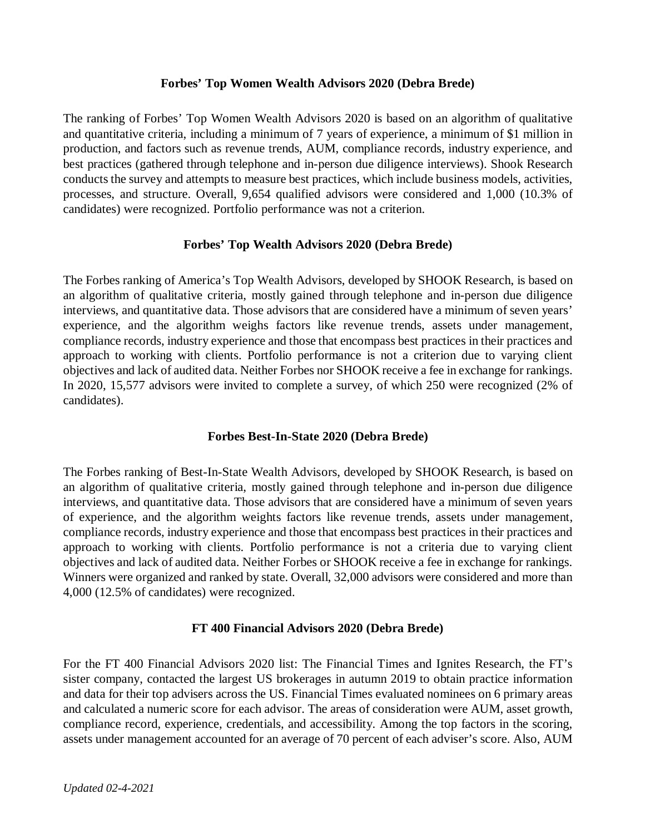#### **Forbes' Top Women Wealth Advisors 2020 (Debra Brede)**

The ranking of Forbes' Top Women Wealth Advisors 2020 is based on an algorithm of qualitative and quantitative criteria, including a minimum of 7 years of experience, a minimum of \$1 million in production, and factors such as revenue trends, AUM, compliance records, industry experience, and best practices (gathered through telephone and in-person due diligence interviews). Shook Research conducts the survey and attempts to measure best practices, which include business models, activities, processes, and structure. Overall, 9,654 qualified advisors were considered and 1,000 (10.3% of candidates) were recognized. Portfolio performance was not a criterion.

## **Forbes' Top Wealth Advisors 2020 (Debra Brede)**

The Forbes ranking of America's Top Wealth Advisors, developed by SHOOK Research, is based on an algorithm of qualitative criteria, mostly gained through telephone and in-person due diligence interviews, and quantitative data. Those advisors that are considered have a minimum of seven years' experience, and the algorithm weighs factors like revenue trends, assets under management, compliance records, industry experience and those that encompass best practices in their practices and approach to working with clients. Portfolio performance is not a criterion due to varying client objectives and lack of audited data. Neither Forbes nor SHOOK receive a fee in exchange for rankings. In 2020, 15,577 advisors were invited to complete a survey, of which 250 were recognized (2% of candidates).

## **Forbes Best-In-State 2020 (Debra Brede)**

The Forbes ranking of Best-In-State Wealth Advisors, developed by SHOOK Research, is based on an algorithm of qualitative criteria, mostly gained through telephone and in-person due diligence interviews, and quantitative data. Those advisors that are considered have a minimum of seven years of experience, and the algorithm weights factors like revenue trends, assets under management, compliance records, industry experience and those that encompass best practices in their practices and approach to working with clients. Portfolio performance is not a criteria due to varying client objectives and lack of audited data. Neither Forbes or SHOOK receive a fee in exchange for rankings. Winners were organized and ranked by state. Overall, 32,000 advisors were considered and more than 4,000 (12.5% of candidates) were recognized.

## **FT 400 Financial Advisors 2020 (Debra Brede)**

For the FT 400 Financial Advisors 2020 list: The Financial Times and Ignites Research, the FT's sister company, contacted the largest US brokerages in autumn 2019 to obtain practice information and data for their top advisers across the US. Financial Times evaluated nominees on 6 primary areas and calculated a numeric score for each advisor. The areas of consideration were AUM, asset growth, compliance record, experience, credentials, and accessibility. Among the top factors in the scoring, assets under management accounted for an average of 70 percent of each adviser's score. Also, AUM